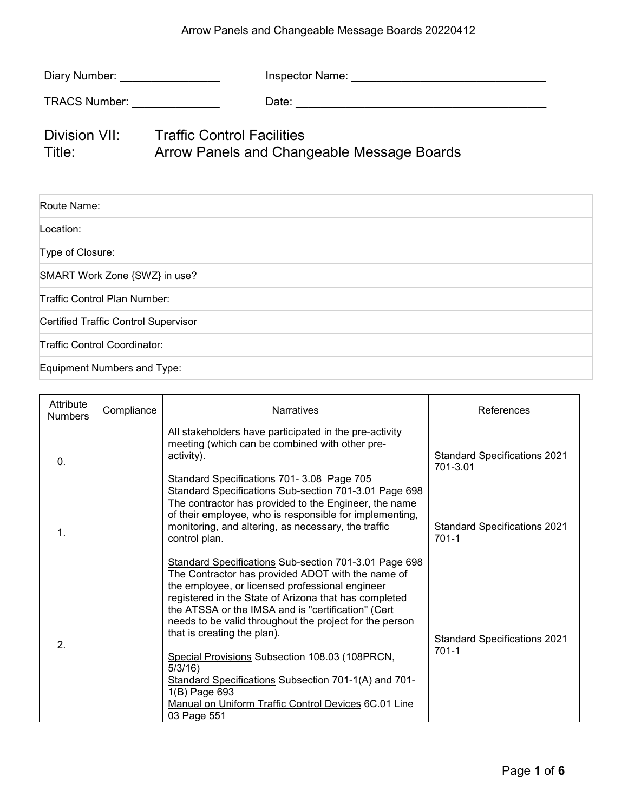## Arrow Panels and Changeable Message Boards 20220412

| Diary Number: _________________             |                                                                                        |  |
|---------------------------------------------|----------------------------------------------------------------------------------------|--|
| TRACS Number: _______________               |                                                                                        |  |
| Title:                                      | Division VII: Traffic Control Facilities<br>Arrow Panels and Changeable Message Boards |  |
| Route Name:                                 |                                                                                        |  |
| Location:                                   |                                                                                        |  |
| Type of Closure:                            |                                                                                        |  |
| SMART Work Zone {SWZ} in use?               |                                                                                        |  |
| Traffic Control Plan Number:                |                                                                                        |  |
| <b>Certified Traffic Control Supervisor</b> |                                                                                        |  |
| Traffic Control Coordinator:                |                                                                                        |  |
| Equipment Numbers and Type:                 |                                                                                        |  |

| Attribute<br><b>Numbers</b> | Compliance | <b>Narratives</b>                                                                                                                                                                                                                                                                                                                                                                                                                                                                                                             | References                                       |
|-----------------------------|------------|-------------------------------------------------------------------------------------------------------------------------------------------------------------------------------------------------------------------------------------------------------------------------------------------------------------------------------------------------------------------------------------------------------------------------------------------------------------------------------------------------------------------------------|--------------------------------------------------|
| $\mathbf{0}$ .              |            | All stakeholders have participated in the pre-activity<br>meeting (which can be combined with other pre-<br>activity).<br>Standard Specifications 701-3.08 Page 705<br>Standard Specifications Sub-section 701-3.01 Page 698                                                                                                                                                                                                                                                                                                  | <b>Standard Specifications 2021</b><br>701-3.01  |
| $\mathbf{1}$ .              |            | The contractor has provided to the Engineer, the name<br>of their employee, who is responsible for implementing,<br>monitoring, and altering, as necessary, the traffic<br>control plan.<br>Standard Specifications Sub-section 701-3.01 Page 698                                                                                                                                                                                                                                                                             | <b>Standard Specifications 2021</b><br>$701-1$   |
| 2 <sub>1</sub>              |            | The Contractor has provided ADOT with the name of<br>the employee, or licensed professional engineer<br>registered in the State of Arizona that has completed<br>the ATSSA or the IMSA and is "certification" (Cert<br>needs to be valid throughout the project for the person<br>that is creating the plan).<br>Special Provisions Subsection 108.03 (108PRCN,<br>$5/3/16$ )<br>Standard Specifications Subsection 701-1(A) and 701-<br>1(B) Page 693<br>Manual on Uniform Traffic Control Devices 6C.01 Line<br>03 Page 551 | <b>Standard Specifications 2021</b><br>$701 - 1$ |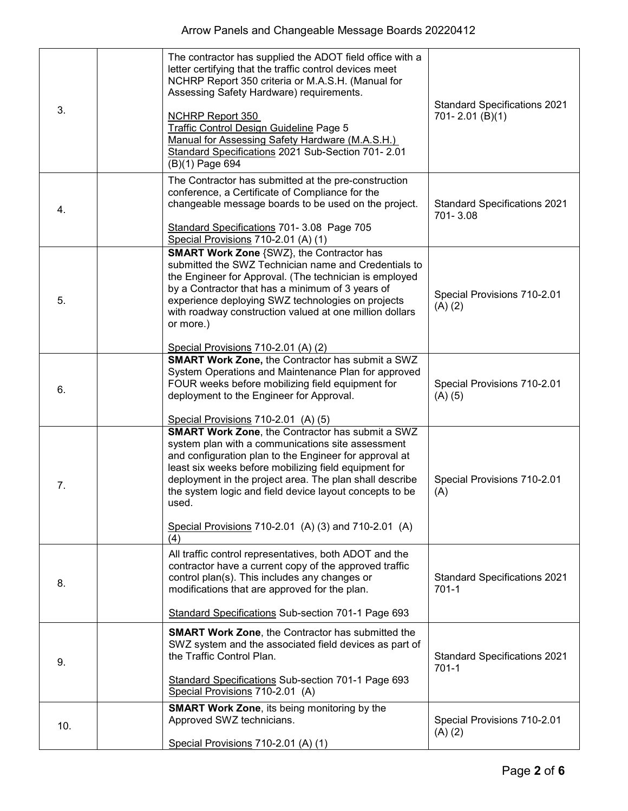| 3.  | The contractor has supplied the ADOT field office with a<br>letter certifying that the traffic control devices meet<br>NCHRP Report 350 criteria or M.A.S.H. (Manual for<br>Assessing Safety Hardware) requirements.<br><b>NCHRP Report 350</b><br>Traffic Control Design Guideline Page 5<br>Manual for Assessing Safety Hardware (M.A.S.H.)<br>Standard Specifications 2021 Sub-Section 701- 2.01<br>(B)(1) Page 694        | <b>Standard Specifications 2021</b><br>701-2.01 (B)(1) |
|-----|-------------------------------------------------------------------------------------------------------------------------------------------------------------------------------------------------------------------------------------------------------------------------------------------------------------------------------------------------------------------------------------------------------------------------------|--------------------------------------------------------|
| 4.  | The Contractor has submitted at the pre-construction<br>conference, a Certificate of Compliance for the<br>changeable message boards to be used on the project.<br>Standard Specifications 701- 3.08 Page 705<br>Special Provisions 710-2.01 (A) (1)                                                                                                                                                                          | <b>Standard Specifications 2021</b><br>701-3.08        |
| 5.  | <b>SMART Work Zone {SWZ}, the Contractor has</b><br>submitted the SWZ Technician name and Credentials to<br>the Engineer for Approval. (The technician is employed<br>by a Contractor that has a minimum of 3 years of<br>experience deploying SWZ technologies on projects<br>with roadway construction valued at one million dollars<br>or more.)<br>Special Provisions 710-2.01 (A) (2)                                    | Special Provisions 710-2.01<br>(A) (2)                 |
| 6.  | <b>SMART Work Zone, the Contractor has submit a SWZ</b><br>System Operations and Maintenance Plan for approved<br>FOUR weeks before mobilizing field equipment for<br>deployment to the Engineer for Approval.<br>Special Provisions 710-2.01 (A) (5)                                                                                                                                                                         | Special Provisions 710-2.01<br>$(A)$ (5)               |
| 7.  | <b>SMART Work Zone, the Contractor has submit a SWZ</b><br>system plan with a communications site assessment<br>and configuration plan to the Engineer for approval at<br>least six weeks before mobilizing field equipment for<br>deployment in the project area. The plan shall describe<br>the system logic and field device layout concepts to be<br>used.<br>Special Provisions 710-2.01 (A) (3) and 710-2.01 (A)<br>(4) | Special Provisions 710-2.01<br>(A)                     |
| 8.  | All traffic control representatives, both ADOT and the<br>contractor have a current copy of the approved traffic<br>control plan(s). This includes any changes or<br>modifications that are approved for the plan.<br>Standard Specifications Sub-section 701-1 Page 693                                                                                                                                                      | <b>Standard Specifications 2021</b><br>$701-1$         |
| 9.  | <b>SMART Work Zone, the Contractor has submitted the</b><br>SWZ system and the associated field devices as part of<br>the Traffic Control Plan.<br>Standard Specifications Sub-section 701-1 Page 693<br>Special Provisions 710-2.01 (A)                                                                                                                                                                                      | <b>Standard Specifications 2021</b><br>$701-1$         |
| 10. | <b>SMART Work Zone, its being monitoring by the</b><br>Approved SWZ technicians.<br>Special Provisions 710-2.01 (A) (1)                                                                                                                                                                                                                                                                                                       | Special Provisions 710-2.01<br>(A) (2)                 |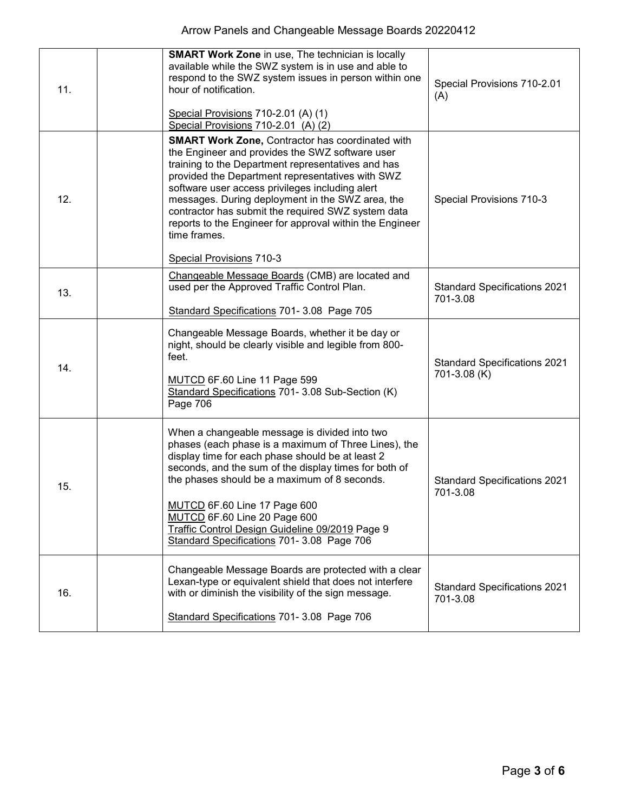| 11. | <b>SMART Work Zone in use, The technician is locally</b><br>available while the SWZ system is in use and able to<br>respond to the SWZ system issues in person within one<br>hour of notification.<br>Special Provisions 710-2.01 (A) (1)<br>Special Provisions 710-2.01 (A) (2)                                                                                                                                                                                                          | Special Provisions 710-2.01<br>(A)                  |
|-----|-------------------------------------------------------------------------------------------------------------------------------------------------------------------------------------------------------------------------------------------------------------------------------------------------------------------------------------------------------------------------------------------------------------------------------------------------------------------------------------------|-----------------------------------------------------|
| 12. | <b>SMART Work Zone, Contractor has coordinated with</b><br>the Engineer and provides the SWZ software user<br>training to the Department representatives and has<br>provided the Department representatives with SWZ<br>software user access privileges including alert<br>messages. During deployment in the SWZ area, the<br>contractor has submit the required SWZ system data<br>reports to the Engineer for approval within the Engineer<br>time frames.<br>Special Provisions 710-3 | Special Provisions 710-3                            |
| 13. | Changeable Message Boards (CMB) are located and<br>used per the Approved Traffic Control Plan.<br>Standard Specifications 701- 3.08 Page 705                                                                                                                                                                                                                                                                                                                                              | <b>Standard Specifications 2021</b><br>701-3.08     |
| 14. | Changeable Message Boards, whether it be day or<br>night, should be clearly visible and legible from 800-<br>feet.<br>MUTCD 6F.60 Line 11 Page 599<br>Standard Specifications 701- 3.08 Sub-Section (K)<br>Page 706                                                                                                                                                                                                                                                                       | <b>Standard Specifications 2021</b><br>701-3.08 (K) |
| 15. | When a changeable message is divided into two<br>phases (each phase is a maximum of Three Lines), the<br>display time for each phase should be at least 2<br>seconds, and the sum of the display times for both of<br>the phases should be a maximum of 8 seconds.<br>MUTCD 6F.60 Line 17 Page 600<br>MUTCD 6F.60 Line 20 Page 600<br>Traffic Control Design Guideline 09/2019 Page 9<br>Standard Specifications 701- 3.08 Page 706                                                       | <b>Standard Specifications 2021</b><br>701-3.08     |
| 16. | Changeable Message Boards are protected with a clear<br>Lexan-type or equivalent shield that does not interfere<br>with or diminish the visibility of the sign message.<br>Standard Specifications 701- 3.08 Page 706                                                                                                                                                                                                                                                                     | <b>Standard Specifications 2021</b><br>701-3.08     |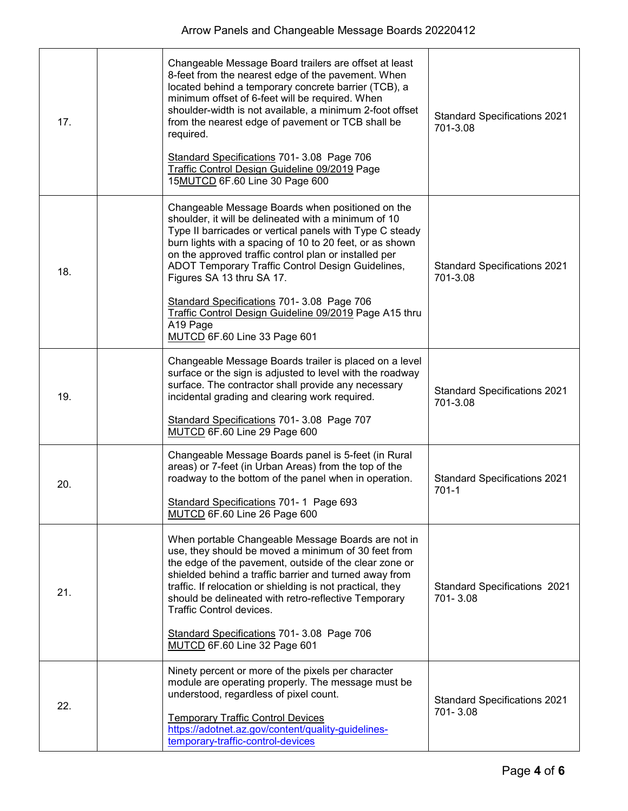| 17. | Changeable Message Board trailers are offset at least<br>8-feet from the nearest edge of the pavement. When<br>located behind a temporary concrete barrier (TCB), a<br>minimum offset of 6-feet will be required. When<br>shoulder-width is not available, a minimum 2-foot offset<br>from the nearest edge of pavement or TCB shall be<br>required.<br>Standard Specifications 701- 3.08 Page 706<br>Traffic Control Design Guideline 09/2019 Page<br>15MUTCD 6F.60 Line 30 Page 600                                           | <b>Standard Specifications 2021</b><br>701-3.08 |
|-----|---------------------------------------------------------------------------------------------------------------------------------------------------------------------------------------------------------------------------------------------------------------------------------------------------------------------------------------------------------------------------------------------------------------------------------------------------------------------------------------------------------------------------------|-------------------------------------------------|
| 18. | Changeable Message Boards when positioned on the<br>shoulder, it will be delineated with a minimum of 10<br>Type II barricades or vertical panels with Type C steady<br>burn lights with a spacing of 10 to 20 feet, or as shown<br>on the approved traffic control plan or installed per<br>ADOT Temporary Traffic Control Design Guidelines,<br>Figures SA 13 thru SA 17.<br>Standard Specifications 701- 3.08 Page 706<br>Traffic Control Design Guideline 09/2019 Page A15 thru<br>A19 Page<br>MUTCD 6F.60 Line 33 Page 601 | <b>Standard Specifications 2021</b><br>701-3.08 |
| 19. | Changeable Message Boards trailer is placed on a level<br>surface or the sign is adjusted to level with the roadway<br>surface. The contractor shall provide any necessary<br>incidental grading and clearing work required.<br>Standard Specifications 701- 3.08 Page 707<br>MUTCD 6F.60 Line 29 Page 600                                                                                                                                                                                                                      | <b>Standard Specifications 2021</b><br>701-3.08 |
| 20. | Changeable Message Boards panel is 5-feet (in Rural<br>areas) or 7-feet (in Urban Areas) from the top of the<br>roadway to the bottom of the panel when in operation.<br>Standard Specifications 701-1 Page 693<br>MUTCD 6F.60 Line 26 Page 600                                                                                                                                                                                                                                                                                 | <b>Standard Specifications 2021</b><br>$701-1$  |
| 21. | When portable Changeable Message Boards are not in<br>use, they should be moved a minimum of 30 feet from<br>the edge of the pavement, outside of the clear zone or<br>shielded behind a traffic barrier and turned away from<br>traffic. If relocation or shielding is not practical, they<br>should be delineated with retro-reflective Temporary<br>Traffic Control devices.<br>Standard Specifications 701- 3.08 Page 706<br>MUTCD 6F.60 Line 32 Page 601                                                                   | <b>Standard Specifications 2021</b><br>701-3.08 |
| 22. | Ninety percent or more of the pixels per character<br>module are operating properly. The message must be<br>understood, regardless of pixel count.<br><b>Temporary Traffic Control Devices</b><br>https://adotnet.az.gov/content/quality-guidelines-<br>temporary-traffic-control-devices                                                                                                                                                                                                                                       | <b>Standard Specifications 2021</b><br>701-3.08 |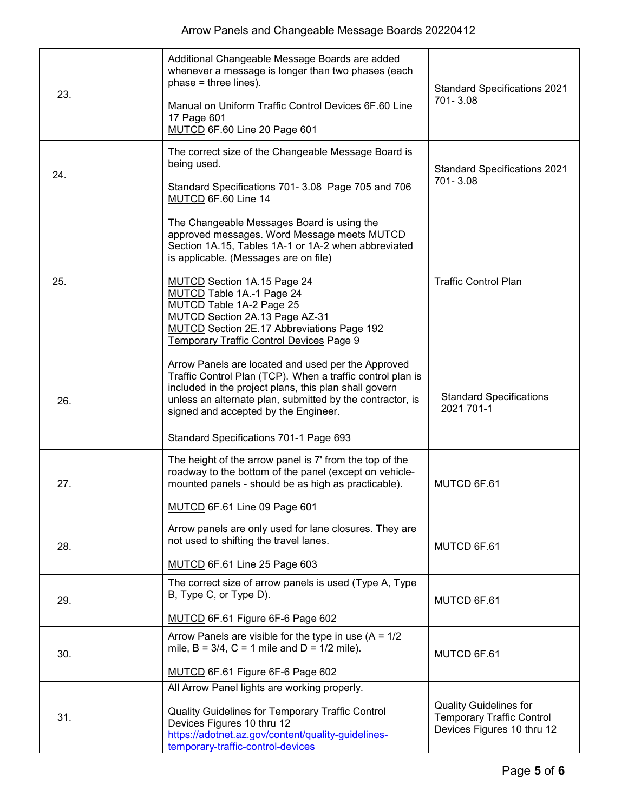| 23. | Additional Changeable Message Boards are added<br>whenever a message is longer than two phases (each<br>$phase = three lines$ ).<br>Manual on Uniform Traffic Control Devices 6F.60 Line<br>17 Page 601<br>MUTCD 6F.60 Line 20 Page 601                                                                                                                                                                              | <b>Standard Specifications 2021</b><br>701-3.08                                                 |
|-----|----------------------------------------------------------------------------------------------------------------------------------------------------------------------------------------------------------------------------------------------------------------------------------------------------------------------------------------------------------------------------------------------------------------------|-------------------------------------------------------------------------------------------------|
| 24. | The correct size of the Changeable Message Board is<br>being used.<br>Standard Specifications 701-3.08 Page 705 and 706<br>MUTCD 6F.60 Line 14                                                                                                                                                                                                                                                                       | <b>Standard Specifications 2021</b><br>701-3.08                                                 |
| 25. | The Changeable Messages Board is using the<br>approved messages. Word Message meets MUTCD<br>Section 1A.15, Tables 1A-1 or 1A-2 when abbreviated<br>is applicable. (Messages are on file)<br>MUTCD Section 1A.15 Page 24<br>MUTCD Table 1A.-1 Page 24<br>MUTCD Table 1A-2 Page 25<br>MUTCD Section 2A.13 Page AZ-31<br><b>MUTCD</b> Section 2E.17 Abbreviations Page 192<br>Temporary Traffic Control Devices Page 9 | <b>Traffic Control Plan</b>                                                                     |
| 26. | Arrow Panels are located and used per the Approved<br>Traffic Control Plan (TCP). When a traffic control plan is<br>included in the project plans, this plan shall govern<br>unless an alternate plan, submitted by the contractor, is<br>signed and accepted by the Engineer.<br>Standard Specifications 701-1 Page 693                                                                                             | <b>Standard Specifications</b><br>2021 701-1                                                    |
| 27. | The height of the arrow panel is 7' from the top of the<br>roadway to the bottom of the panel (except on vehicle-<br>mounted panels - should be as high as practicable).<br>MUTCD 6F.61 Line 09 Page 601                                                                                                                                                                                                             | MUTCD 6F.61                                                                                     |
| 28. | Arrow panels are only used for lane closures. They are<br>not used to shifting the travel lanes.<br>MUTCD 6F.61 Line 25 Page 603                                                                                                                                                                                                                                                                                     | MUTCD 6F.61                                                                                     |
| 29. | The correct size of arrow panels is used (Type A, Type<br>B, Type C, or Type D).<br>MUTCD 6F.61 Figure 6F-6 Page 602                                                                                                                                                                                                                                                                                                 | MUTCD 6F.61                                                                                     |
| 30. | Arrow Panels are visible for the type in use (A = $1/2$<br>mile, $B = 3/4$ , $C = 1$ mile and $D = 1/2$ mile).<br>MUTCD 6F.61 Figure 6F-6 Page 602                                                                                                                                                                                                                                                                   | MUTCD 6F.61                                                                                     |
| 31. | All Arrow Panel lights are working properly.<br>Quality Guidelines for Temporary Traffic Control<br>Devices Figures 10 thru 12<br>https://adotnet.az.gov/content/quality-guidelines-<br>temporary-traffic-control-devices                                                                                                                                                                                            | <b>Quality Guidelines for</b><br><b>Temporary Traffic Control</b><br>Devices Figures 10 thru 12 |